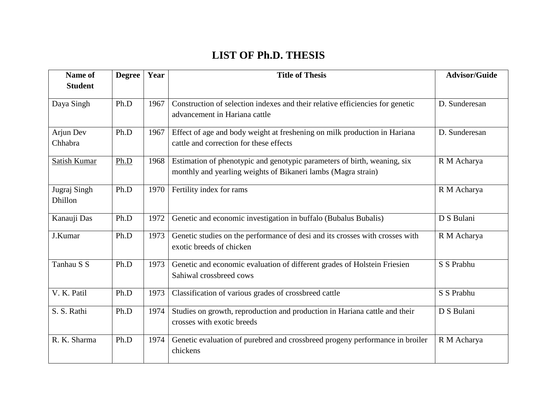## **LIST OF Ph.D. THESIS**

| Name of             | <b>Degree</b> | Year | <b>Title of Thesis</b>                                                        | <b>Advisor/Guide</b> |
|---------------------|---------------|------|-------------------------------------------------------------------------------|----------------------|
| <b>Student</b>      |               |      |                                                                               |                      |
| Daya Singh          | Ph.D          | 1967 | Construction of selection indexes and their relative efficiencies for genetic | D. Sunderesan        |
|                     |               |      | advancement in Hariana cattle                                                 |                      |
| Arjun Dev           | Ph.D          | 1967 | Effect of age and body weight at freshening on milk production in Hariana     | D. Sunderesan        |
| Chhabra             |               |      | cattle and correction for these effects                                       |                      |
| <b>Satish Kumar</b> | Ph.D          | 1968 | Estimation of phenotypic and genotypic parameters of birth, weaning, six      | R M Acharya          |
|                     |               |      | monthly and yearling weights of Bikaneri lambs (Magra strain)                 |                      |
| Jugraj Singh        | Ph.D          | 1970 | Fertility index for rams                                                      | R M Acharya          |
| Dhillon             |               |      |                                                                               |                      |
| Kanauji Das         | Ph.D          | 1972 | Genetic and economic investigation in buffalo (Bubalus Bubalis)               | D S Bulani           |
| J.Kumar             | Ph.D          | 1973 | Genetic studies on the performance of desi and its crosses with crosses with  | R M Acharya          |
|                     |               |      | exotic breeds of chicken                                                      |                      |
| Tanhau S S          | Ph.D          | 1973 | Genetic and economic evaluation of different grades of Holstein Friesien      | S S Prabhu           |
|                     |               |      | Sahiwal crossbreed cows                                                       |                      |
| V. K. Patil         | Ph.D          | 1973 | Classification of various grades of crossbreed cattle                         | S S Prabhu           |
| S. S. Rathi         | Ph.D          | 1974 | Studies on growth, reproduction and production in Hariana cattle and their    | D S Bulani           |
|                     |               |      | crosses with exotic breeds                                                    |                      |
| R. K. Sharma        | Ph.D          | 1974 | Genetic evaluation of purebred and crossbreed progeny performance in broiler  | R M Acharya          |
|                     |               |      | chickens                                                                      |                      |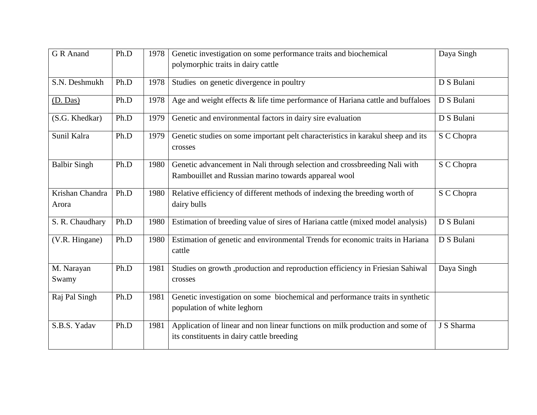| G R Anand                | Ph.D | 1978 | Genetic investigation on some performance traits and biochemical<br>polymorphic traits in dairy cattle                            | Daya Singh |
|--------------------------|------|------|-----------------------------------------------------------------------------------------------------------------------------------|------------|
| S.N. Deshmukh            | Ph.D | 1978 | Studies on genetic divergence in poultry                                                                                          | D S Bulani |
| (D. Das)                 | Ph.D | 1978 | Age and weight effects $\&$ life time performance of Hariana cattle and buffaloes                                                 | D S Bulani |
| (S.G. Khedkar)           | Ph.D | 1979 | Genetic and environmental factors in dairy sire evaluation                                                                        | D S Bulani |
| Sunil Kalra              | Ph.D | 1979 | Genetic studies on some important pelt characteristics in karakul sheep and its<br>crosses                                        | S C Chopra |
| <b>Balbir Singh</b>      | Ph.D | 1980 | Genetic advancement in Nali through selection and crossbreeding Nali with<br>Rambouillet and Russian marino towards appareal wool | S C Chopra |
| Krishan Chandra<br>Arora | Ph.D | 1980 | Relative efficiency of different methods of indexing the breeding worth of<br>dairy bulls                                         | S C Chopra |
| S. R. Chaudhary          | Ph.D | 1980 | Estimation of breeding value of sires of Hariana cattle (mixed model analysis)                                                    | D S Bulani |
| (V.R. Hingane)           | Ph.D | 1980 | Estimation of genetic and environmental Trends for economic traits in Hariana<br>cattle                                           | D S Bulani |
| M. Narayan<br>Swamy      | Ph.D | 1981 | Studies on growth ,production and reproduction efficiency in Friesian Sahiwal<br>crosses                                          | Daya Singh |
| Raj Pal Singh            | Ph.D | 1981 | Genetic investigation on some biochemical and performance traits in synthetic<br>population of white leghorn                      |            |
| S.B.S. Yadav             | Ph.D | 1981 | Application of linear and non linear functions on milk production and some of<br>its constituents in dairy cattle breeding        | J S Sharma |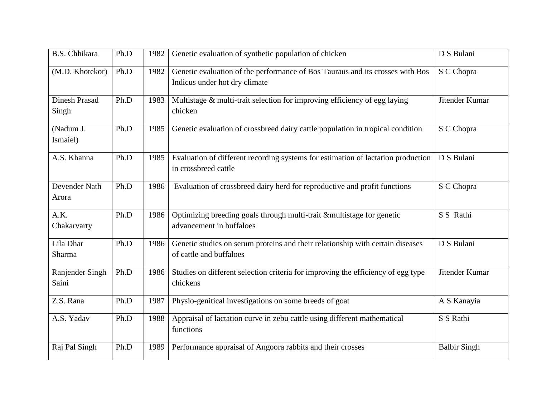| <b>B.S.</b> Chhikara          | Ph.D | 1982 | Genetic evaluation of synthetic population of chicken                                                          | D S Bulani          |
|-------------------------------|------|------|----------------------------------------------------------------------------------------------------------------|---------------------|
| (M.D. Khotekor)               | Ph.D | 1982 | Genetic evaluation of the performance of Bos Tauraus and its crosses with Bos<br>Indicus under hot dry climate | S C Chopra          |
| <b>Dinesh Prasad</b><br>Singh | Ph.D | 1983 | Multistage & multi-trait selection for improving efficiency of egg laying<br>chicken                           | Jitender Kumar      |
| (Nadum J.<br>Ismaiel)         | Ph.D | 1985 | Genetic evaluation of crossbreed dairy cattle population in tropical condition                                 | S C Chopra          |
| A.S. Khanna                   | Ph.D | 1985 | Evaluation of different recording systems for estimation of lactation production<br>in crossbreed cattle       | D S Bulani          |
| Devender Nath<br>Arora        | Ph.D | 1986 | Evaluation of crossbreed dairy herd for reproductive and profit functions                                      | S C Chopra          |
| A.K.<br>Chakarvarty           | Ph.D | 1986 | Optimizing breeding goals through multi-trait & multistage for genetic<br>advancement in buffaloes             | S S Rathi           |
| Lila Dhar<br>Sharma           | Ph.D | 1986 | Genetic studies on serum proteins and their relationship with certain diseases<br>of cattle and buffaloes      | D S Bulani          |
| Ranjender Singh<br>Saini      | Ph.D | 1986 | Studies on different selection criteria for improving the efficiency of egg type<br>chickens                   | Jitender Kumar      |
| Z.S. Rana                     | Ph.D | 1987 | Physio-genitical investigations on some breeds of goat                                                         | A S Kanayia         |
| A.S. Yadav                    | Ph.D | 1988 | Appraisal of lactation curve in zebu cattle using different mathematical<br>functions                          | S S Rathi           |
| Raj Pal Singh                 | Ph.D | 1989 | Performance appraisal of Angoora rabbits and their crosses                                                     | <b>Balbir Singh</b> |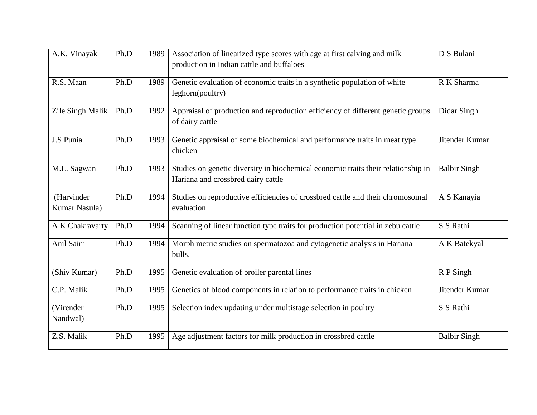| A.K. Vinayak                | Ph.D | 1989 | Association of linearized type scores with age at first calving and milk<br>production in Indian cattle and buffaloes   | D S Bulani          |
|-----------------------------|------|------|-------------------------------------------------------------------------------------------------------------------------|---------------------|
| R.S. Maan                   | Ph.D | 1989 | Genetic evaluation of economic traits in a synthetic population of white<br>leghorn(poultry)                            | R K Sharma          |
| Zile Singh Malik            | Ph.D | 1992 | Appraisal of production and reproduction efficiency of different genetic groups<br>of dairy cattle                      | Didar Singh         |
| J.S Punia                   | Ph.D | 1993 | Genetic appraisal of some biochemical and performance traits in meat type<br>chicken                                    | Jitender Kumar      |
| M.L. Sagwan                 | Ph.D | 1993 | Studies on genetic diversity in biochemical economic traits their relationship in<br>Hariana and crossbred dairy cattle | <b>Balbir Singh</b> |
| (Harvinder<br>Kumar Nasula) | Ph.D | 1994 | Studies on reproductive efficiencies of crossbred cattle and their chromosomal<br>evaluation                            | A S Kanayia         |
| A K Chakravarty             | Ph.D | 1994 | Scanning of linear function type traits for production potential in zebu cattle                                         | S S Rathi           |
| Anil Saini                  | Ph.D | 1994 | Morph metric studies on spermatozoa and cytogenetic analysis in Hariana<br>bulls.                                       | A K Batekyal        |
| (Shiv Kumar)                | Ph.D | 1995 | Genetic evaluation of broiler parental lines                                                                            | R P Singh           |
| C.P. Malik                  | Ph.D | 1995 | Genetics of blood components in relation to performance traits in chicken                                               | Jitender Kumar      |
| (Virender<br>Nandwal)       | Ph.D | 1995 | Selection index updating under multistage selection in poultry                                                          | S S Rathi           |
| Z.S. Malik                  | Ph.D | 1995 | Age adjustment factors for milk production in crossbred cattle                                                          | <b>Balbir Singh</b> |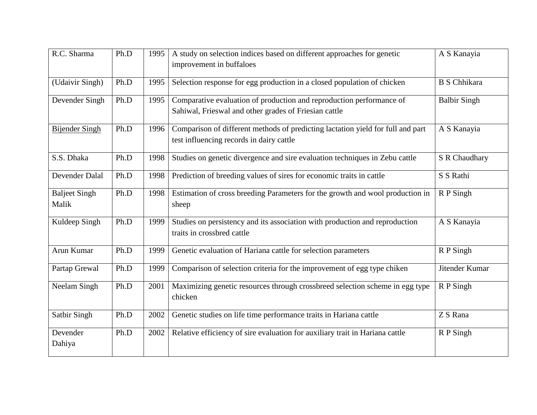| R.C. Sharma                   | Ph.D | 1995 | A study on selection indices based on different approaches for genetic<br>improvement in buffaloes                            | A S Kanayia         |
|-------------------------------|------|------|-------------------------------------------------------------------------------------------------------------------------------|---------------------|
| (Udaivir Singh)               | Ph.D | 1995 | Selection response for egg production in a closed population of chicken                                                       | <b>B</b> S Chhikara |
| Devender Singh                | Ph.D | 1995 | Comparative evaluation of production and reproduction performance of<br>Sahiwal, Frieswal and other grades of Friesian cattle | <b>Balbir Singh</b> |
| Bijender Singh                | Ph.D | 1996 | Comparison of different methods of predicting lactation yield for full and part<br>test influencing records in dairy cattle   | A S Kanayia         |
| S.S. Dhaka                    | Ph.D | 1998 | Studies on genetic divergence and sire evaluation techniques in Zebu cattle                                                   | S R Chaudhary       |
| Devender Dalal                | Ph.D | 1998 | Prediction of breeding values of sires for economic traits in cattle                                                          | S S Rathi           |
| <b>Baljeet Singh</b><br>Malik | Ph.D | 1998 | Estimation of cross breeding Parameters for the growth and wool production in<br>sheep                                        | R P Singh           |
| Kuldeep Singh                 | Ph.D | 1999 | Studies on persistency and its association with production and reproduction<br>traits in crossbred cattle                     | A S Kanayia         |
| Arun Kumar                    | Ph.D | 1999 | Genetic evaluation of Hariana cattle for selection parameters                                                                 | R P Singh           |
| Partap Grewal                 | Ph.D | 1999 | Comparison of selection criteria for the improvement of egg type chiken                                                       | Jitender Kumar      |
| Neelam Singh                  | Ph.D | 2001 | Maximizing genetic resources through crossbreed selection scheme in egg type<br>chicken                                       | R P Singh           |
| Satbir Singh                  | Ph.D | 2002 | Genetic studies on life time performance traits in Hariana cattle                                                             | Z S Rana            |
| Devender<br>Dahiya            | Ph.D | 2002 | Relative efficiency of sire evaluation for auxiliary trait in Hariana cattle                                                  | R P Singh           |